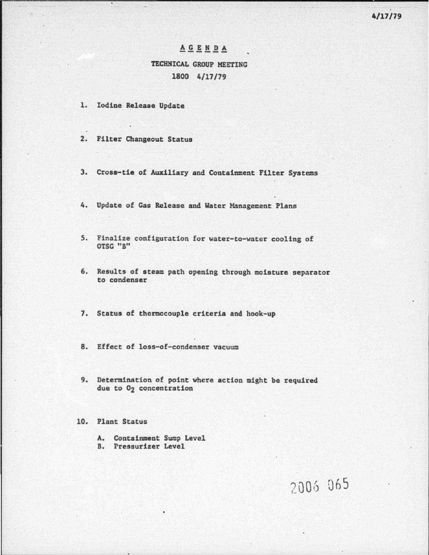## A G E N D A TECHNICAL CROUP MEETING 1800 4/17/79

- 1. Iodine Release Update
- 2. Filter Changeout Status
- 3. Cross-tie of Auxiliary and Containment Filter Systems
- 4. Update of Gas Release and Water Management Plans
- *5.* Finalize configuration for water-to-water cooling of OTSC "B"
- 6. Results of steam path opening through moisture separator to condenser
- *1.* Status of thermocouple criteria and hook-up
- 8. Effect of loss-of-condenser vacuum
- 9. Determination of point where action might be required due to 02 concentration

#### 10. Plant Status

- A. Containment Sump Level
- B. rressurizer Level

# 2006 065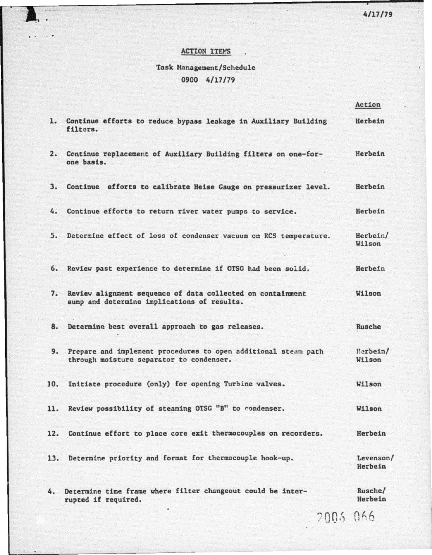4/17/79

### ACTION ITEMS

I.

٠

## Task Management/Schedule 0900 4/17/79

|     |                                                                                                            | Action               |
|-----|------------------------------------------------------------------------------------------------------------|----------------------|
| 1.  | Continue efforts to reduce bypass leakage in Auxiliary Building<br>filters.                                | Herbein              |
|     | 2. Continue replacement of Auxiliary Building filters on one-for-<br>one basis.                            | Herbein              |
| 3.  | Continue efforts to calibrate Heise Gauge on pressurizer level.                                            | Herbein              |
| 4.  | Continue efforts to return river water pumps to service.                                                   | Herbein              |
| 5.  | Determine effect of loss of condenser vacuum on RCS temperature.                                           | Herbein/<br>Wilson   |
| 6.  | Review past experience to determine if OTSG had been solid.                                                | Herbein              |
| 7.  | Review alignment sequence of data collected on containment<br>sump and determine implications of results.  | Wilson               |
| 8.  | Determine best overall approach to gas releases.                                                           | Rusche               |
| 9.  | Prepare and implement procedures to open additional steam path<br>through moisture separator to condenser. | Herbein/<br>Wilson   |
| 10. | Initiate procedure (only) for opening Turbine valves.                                                      | Wilson               |
| 11. | Review possibility of steaming OTSC "B" to condenser.                                                      | Wilson               |
| 12. | Continue effort to place core exit thermocouples on recorders.                                             | Herbein              |
| 13. | Determine priority and format for thermocouple hook-up.                                                    | Levenson/<br>Herbein |
| 4.  | Determine time frame where filter changeout could be inter-<br>rupted if required.                         | Rusche/<br>Herbein   |
|     | 2003 066                                                                                                   |                      |

i.